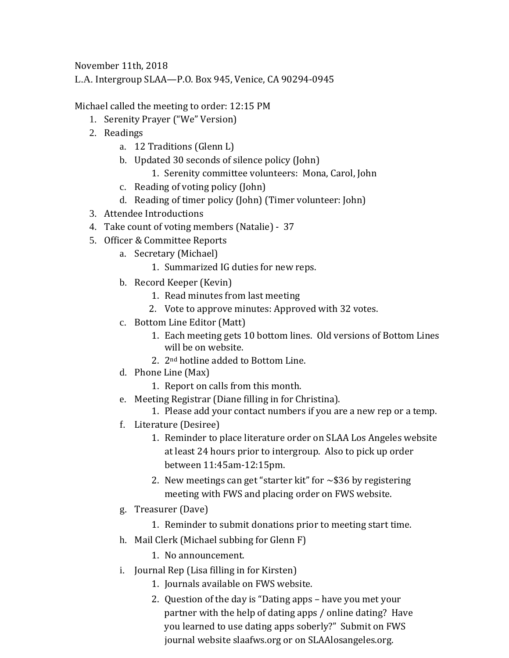November 11th, 2018

L.A. Intergroup SLAA—P.O. Box 945, Venice, CA 90294-0945

Michael called the meeting to order: 12:15 PM

- 1. Serenity Prayer ("We" Version)
- 2. Readings
	- a. 12 Traditions (Glenn L)
	- b. Updated 30 seconds of silence policy (John)
		- 1. Serenity committee volunteers: Mona, Carol, John
	- c. Reading of voting policy (John)
	- d. Reading of timer policy (John) (Timer volunteer: John)
- 3. Attendee Introductions
- 4. Take count of voting members (Natalie) 37
- 5. Officer & Committee Reports
	- a. Secretary (Michael)
		- 1. Summarized IG duties for new reps.
	- b. Record Keeper (Kevin)
		- 1. Read minutes from last meeting
		- 2. Vote to approve minutes: Approved with 32 votes.
	- c. Bottom Line Editor (Matt)
		- 1. Each meeting gets 10 bottom lines. Old versions of Bottom Lines will be on website.
		- 2. 2nd hotline added to Bottom Line.
	- d. Phone Line (Max)
		- 1. Report on calls from this month.
	- e. Meeting Registrar (Diane filling in for Christina).
		- 1. Please add your contact numbers if you are a new rep or a temp.
	- f. Literature (Desiree)
		- 1. Reminder to place literature order on SLAA Los Angeles website at least 24 hours prior to intergroup. Also to pick up order between 11:45am-12:15pm.
		- 2. New meetings can get "starter kit" for  $\sim$ \$36 by registering meeting with FWS and placing order on FWS website.
	- g. Treasurer (Dave)
		- 1. Reminder to submit donations prior to meeting start time.
	- h. Mail Clerk (Michael subbing for Glenn F)
		- 1. No announcement.
	- i. Journal Rep (Lisa filling in for Kirsten)
		- 1. Journals available on FWS website.
		- 2. Question of the day is "Dating apps have you met your partner with the help of dating apps / online dating? Have you learned to use dating apps soberly?" Submit on FWS journal website slaafws.org or on SLAAlosangeles.org.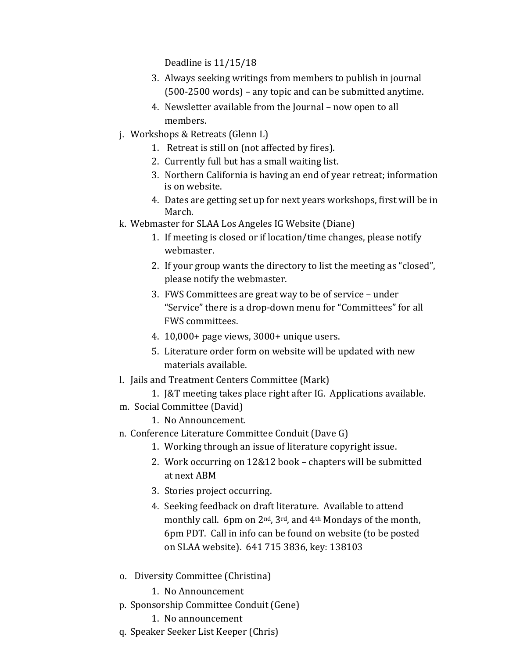Deadline is 11/15/18

- 3. Always seeking writings from members to publish in journal (500-2500 words) – any topic and can be submitted anytime.
- 4. Newsletter available from the Journal now open to all members.
- j. Workshops & Retreats (Glenn L)
	- 1. Retreat is still on (not affected by fires).
	- 2. Currently full but has a small waiting list.
	- 3. Northern California is having an end of year retreat; information is on website.
	- 4. Dates are getting set up for next years workshops, first will be in March.
- k. Webmaster for SLAA Los Angeles IG Website (Diane)
	- 1. If meeting is closed or if location/time changes, please notify webmaster.
	- 2. If your group wants the directory to list the meeting as "closed", please notify the webmaster.
	- 3. FWS Committees are great way to be of service under "Service" there is a drop-down menu for "Committees" for all FWS committees.
	- 4. 10,000+ page views, 3000+ unique users.
	- 5. Literature order form on website will be updated with new materials available.
- l. Jails and Treatment Centers Committee (Mark)
	- 1. J&T meeting takes place right after IG. Applications available.
- m. Social Committee (David)
	- 1. No Announcement.
- n. Conference Literature Committee Conduit (Dave G)
	- 1. Working through an issue of literature copyright issue.
	- 2. Work occurring on 12&12 book chapters will be submitted at next ABM
	- 3. Stories project occurring.
	- 4. Seeking feedback on draft literature. Available to attend monthly call. 6pm on  $2^{nd}$ ,  $3^{rd}$ , and  $4^{th}$  Mondays of the month, 6pm PDT. Call in info can be found on website (to be posted on SLAA website). 641 715 3836, key: 138103
- o. Diversity Committee (Christina)
	- 1. No Announcement
- p. Sponsorship Committee Conduit (Gene)
	- 1. No announcement
- q. Speaker Seeker List Keeper (Chris)